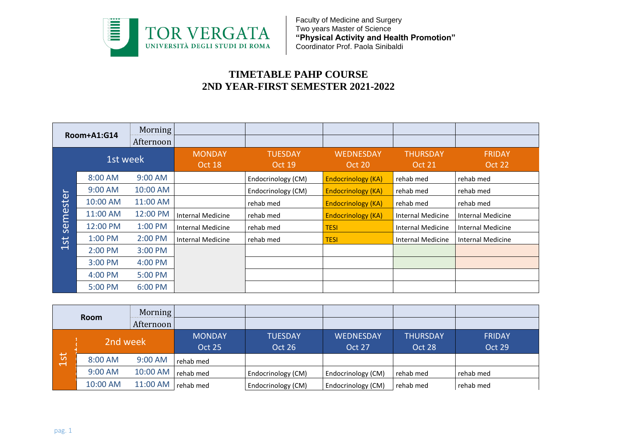

## **TIMETABLE PAHP COURSE 2ND YEAR-FIRST SEMESTER 2021-2022**

| Room+A1:G14              |           | <b>Morning</b><br>Afternoon |                          |                                 |                            |                                  |                         |
|--------------------------|-----------|-----------------------------|--------------------------|---------------------------------|----------------------------|----------------------------------|-------------------------|
|                          | 1st week  |                             | <b>MONDAY</b><br>Oct 18  | <b>TUESDAY</b><br><b>Oct 19</b> | <b>WEDNESDAY</b><br>Oct 20 | <b>THURSDAY</b><br><b>Oct 21</b> | <b>FRIDAY</b><br>Oct 22 |
|                          | 8:00 AM   | 9:00 AM                     |                          | Endocrinology (CM)              | <b>Endocrinology (KA)</b>  | rehab med                        | rehab med               |
|                          | $9:00$ AM | 10:00 AM                    |                          | Endocrinology (CM)              | <b>Endocrinology (KA)</b>  | rehab med                        | rehab med               |
| ster                     | 10:00 AM  | 11:00 AM                    |                          | rehab med                       | <b>Endocrinology (KA)</b>  | rehab med                        | rehab med               |
| ěi                       | 11:00 AM  | 12:00 PM                    | <b>Internal Medicine</b> | rehab med                       | <b>Endocrinology (KA)</b>  | <b>Internal Medicine</b>         | Internal Medicine       |
| <b>9S</b>                | 12:00 PM  | 1:00 PM                     | Internal Medicine        | rehab med                       | <b>TESI</b>                | <b>Internal Medicine</b>         | Internal Medicine       |
| 5t                       | 1:00 PM   | 2:00 PM                     | <b>Internal Medicine</b> | rehab med                       | <b>TESI</b>                | <b>Internal Medicine</b>         | Internal Medicine       |
| $\overline{\phantom{0}}$ | 2:00 PM   | 3:00 PM                     |                          |                                 |                            |                                  |                         |
|                          | $3:00$ PM | 4:00 PM                     |                          |                                 |                            |                                  |                         |
|                          | 4:00 PM   | 5:00 PM                     |                          |                                 |                            |                                  |                         |
|                          | 5:00 PM   | 6:00 PM                     |                          |                                 |                            |                                  |                         |

|                                            | <b>Room</b> | Morning   |               |                    |                    |                 |               |
|--------------------------------------------|-------------|-----------|---------------|--------------------|--------------------|-----------------|---------------|
|                                            |             | Afternoon |               |                    |                    |                 |               |
|                                            | 2nd week    |           | <b>MONDAY</b> | <b>TUESDAY</b>     | <b>WEDNESDAY</b>   | <b>THURSDAY</b> | <b>FRIDAY</b> |
|                                            |             |           | <b>Oct 25</b> | Oct 26             | Oct 27             | Oct 28          | Oct 29        |
| 5 <sub>1</sub><br>$\overline{\phantom{0}}$ | 8:00 AM     | 9:00 AM   | rehab med     |                    |                    |                 |               |
|                                            | 9:00 AM     | 10:00 AM  | rehab med     | Endocrinology (CM) | Endocrinology (CM) | rehab med       | rehab med     |
|                                            | 10:00 AM    | 11:00 AM  | rehab med     | Endocrinology (CM) | Endocrinology (CM) | rehab med       | rehab med     |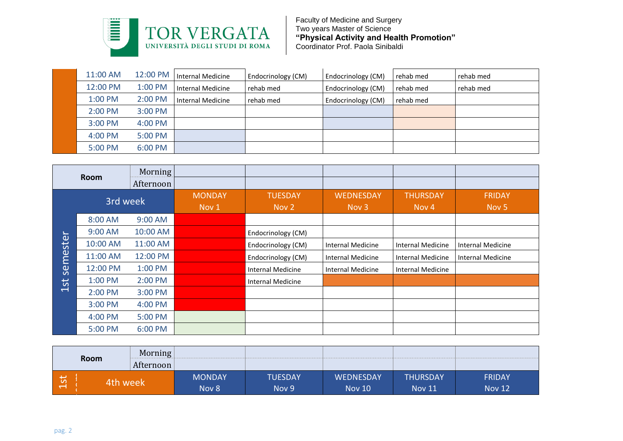

| 11:00 AM  | 12:00 PM  | Internal Medicine | <b>Endocrinology (CM)</b> | Endocrinology (CM) | rehab med | rehab med |
|-----------|-----------|-------------------|---------------------------|--------------------|-----------|-----------|
| 12:00 PM  | $1:00$ PM | Internal Medicine | rehab med                 | Endocrinology (CM) | rehab med | rehab med |
| 1:00 PM   | 2:00 PM   | Internal Medicine | rehab med                 | Endocrinology (CM) | rehab med |           |
| $2:00$ PM | 3:00 PM   |                   |                           |                    |           |           |
| 3:00 PM   | 4:00 PM   |                   |                           |                    |           |           |
| 4:00 PM   | 5:00 PM   |                   |                           |                    |           |           |
| 5:00 PM   | 6:00 PM   |                   |                           |                    |           |           |

|        | <b>Room</b> | Morning   |                        |                          |                           |                          |                                   |
|--------|-------------|-----------|------------------------|--------------------------|---------------------------|--------------------------|-----------------------------------|
|        |             | Afternoon |                        |                          |                           |                          |                                   |
|        | 3rd week    |           | <b>MONDAY</b><br>Nov 1 | <b>TUESDAY</b><br>Nov 2  | <b>WEDNESDAY</b><br>Nov 3 | <b>THURSDAY</b><br>Nov 4 | <b>FRIDAY</b><br>Nov <sub>5</sub> |
| mester | 8:00 AM     | 9:00 AM   |                        |                          |                           |                          |                                   |
|        | 9:00 AM     | 10:00 AM  |                        | Endocrinology (CM)       |                           |                          |                                   |
|        | 10:00 AM    | 11:00 AM  |                        | Endocrinology (CM)       | Internal Medicine         | <b>Internal Medicine</b> | Internal Medicine                 |
|        | 11:00 AM    | 12:00 PM  |                        | Endocrinology (CM)       | Internal Medicine         | <b>Internal Medicine</b> | Internal Medicine                 |
| 95     | 12:00 PM    | 1:00 PM   |                        | Internal Medicine        | Internal Medicine         | <b>Internal Medicine</b> |                                   |
| 1st    | 1:00 PM     | 2:00 PM   |                        | <b>Internal Medicine</b> |                           |                          |                                   |
|        | 2:00 PM     | 3:00 PM   |                        |                          |                           |                          |                                   |
|        | 3:00 PM     | 4:00 PM   |                        |                          |                           |                          |                                   |
|        | 4:00 PM     | 5:00 PM   |                        |                          |                           |                          |                                   |
|        | 5:00 PM     | 6:00 PM   |                        |                          |                           |                          |                                   |

| Room                                                  | Morning<br>Afternoon |                        |                         |                                   |                                  |                                |
|-------------------------------------------------------|----------------------|------------------------|-------------------------|-----------------------------------|----------------------------------|--------------------------------|
| $\overline{\phantom{0}}$<br>$\frac{c}{L}$<br>4th week |                      | <b>MONDAY</b><br>Nov 8 | <b>TUESDAY</b><br>Nov 9 | <b>WEDNESDAY</b><br><b>Nov 10</b> | <b>THURSDAY</b><br><b>Nov 11</b> | <b>FRIDAY</b><br><b>Nov 12</b> |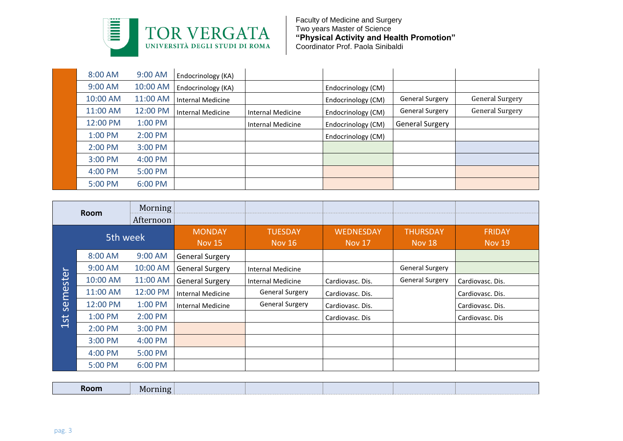

| 8:00 AM   | $9:00$ AM | Endocrinology (KA) |                          |                    |                        |                        |
|-----------|-----------|--------------------|--------------------------|--------------------|------------------------|------------------------|
| 9:00 AM   | 10:00 AM  | Endocrinology (KA) |                          | Endocrinology (CM) |                        |                        |
| 10:00 AM  | 11:00 AM  | Internal Medicine  |                          | Endocrinology (CM) | <b>General Surgery</b> | <b>General Surgery</b> |
| 11:00 AM  | 12:00 PM  | Internal Medicine  | Internal Medicine        | Endocrinology (CM) | <b>General Surgery</b> | <b>General Surgery</b> |
| 12:00 PM  | 1:00 PM   |                    | <b>Internal Medicine</b> | Endocrinology (CM) | <b>General Surgery</b> |                        |
| $1:00$ PM | $2:00$ PM |                    |                          | Endocrinology (CM) |                        |                        |
| 2:00 PM   | $3:00$ PM |                    |                          |                    |                        |                        |
| 3:00 PM   | 4:00 PM   |                    |                          |                    |                        |                        |
| 4:00 PM   | 5:00 PM   |                    |                          |                    |                        |                        |
| 5:00 PM   | 6:00 PM   |                    |                          |                    |                        |                        |

|                                    | <b>Room</b> | Morning<br>Afternoon |                                |                                 |                                   |                           |                                |
|------------------------------------|-------------|----------------------|--------------------------------|---------------------------------|-----------------------------------|---------------------------|--------------------------------|
|                                    | 5th week    |                      | <b>MONDAY</b><br><b>Nov 15</b> | <b>TUESDAY</b><br><b>Nov 16</b> | <b>WEDNESDAY</b><br><b>Nov 17</b> | <b>THURSDAY</b><br>Nov 18 | <b>FRIDAY</b><br><b>Nov 19</b> |
| $\mathbf{L}_{\mathbf{m}}$<br>meste | 8:00 AM     | 9:00 AM              | <b>General Surgery</b>         |                                 |                                   |                           |                                |
|                                    | 9:00 AM     | 10:00 AM             | <b>General Surgery</b>         | Internal Medicine               |                                   | <b>General Surgery</b>    |                                |
|                                    | 10:00 AM    | 11:00 AM             | <b>General Surgery</b>         | <b>Internal Medicine</b>        | Cardiovasc. Dis.                  | <b>General Surgery</b>    | Cardiovasc. Dis.               |
|                                    | 11:00 AM    | 12:00 PM             | Internal Medicine              | <b>General Surgery</b>          | Cardiovasc. Dis.                  |                           | Cardiovasc. Dis.               |
| ဖြ                                 | 12:00 PM    | 1:00 PM              | <b>Internal Medicine</b>       | General Surgery                 | Cardiovasc. Dis.                  |                           | Cardiovasc. Dis.               |
| 1st                                | 1:00 PM     | 2:00 PM              |                                |                                 | Cardiovasc. Dis                   |                           | Cardiovasc. Dis                |
|                                    | 2:00 PM     | 3:00 PM              |                                |                                 |                                   |                           |                                |
|                                    | 3:00 PM     | 4:00 PM              |                                |                                 |                                   |                           |                                |
|                                    | 4:00 PM     | 5:00 PM              |                                |                                 |                                   |                           |                                |
|                                    | 5:00 PM     | 6:00 PM              |                                |                                 |                                   |                           |                                |

| Room | -----<br>VL<br>- - - - -----<br>$\cdot$ |  |  |  |
|------|-----------------------------------------|--|--|--|
|      |                                         |  |  |  |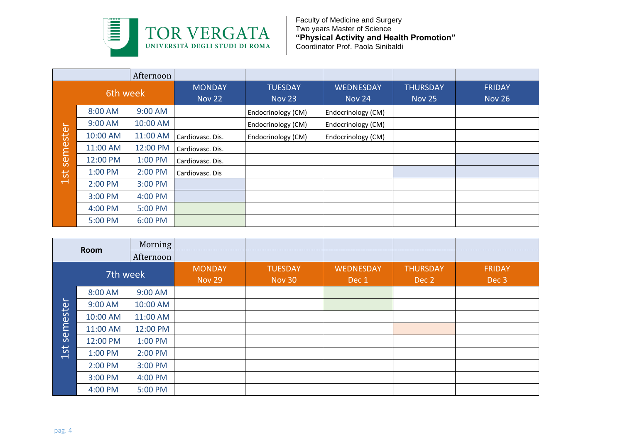

|          |          | Afternoon |                                |                                 |                                   |                                  |                                |
|----------|----------|-----------|--------------------------------|---------------------------------|-----------------------------------|----------------------------------|--------------------------------|
|          | 6th week |           | <b>MONDAY</b><br><b>Nov 22</b> | <b>TUESDAY</b><br><b>Nov 23</b> | <b>WEDNESDAY</b><br><b>Nov 24</b> | <b>THURSDAY</b><br><b>Nov 25</b> | <b>FRIDAY</b><br><b>Nov 26</b> |
|          | 8:00 AM  | $9:00$ AM |                                | Endocrinology (CM)              | Endocrinology (CM)                |                                  |                                |
|          | 9:00 AM  | 10:00 AM  |                                | Endocrinology (CM)              | Endocrinology (CM)                |                                  |                                |
| semester | 10:00 AM | 11:00 AM  | Cardiovasc. Dis.               | Endocrinology (CM)              | Endocrinology (CM)                |                                  |                                |
|          | 11:00 AM | 12:00 PM  | Cardiovasc. Dis.               |                                 |                                   |                                  |                                |
|          | 12:00 PM | 1:00 PM   | Cardiovasc. Dis.               |                                 |                                   |                                  |                                |
| 1st      | 1:00 PM  | 2:00 PM   | Cardiovasc. Dis                |                                 |                                   |                                  |                                |
|          | 2:00 PM  | 3:00 PM   |                                |                                 |                                   |                                  |                                |
|          | 3:00 PM  | 4:00 PM   |                                |                                 |                                   |                                  |                                |
|          | 4:00 PM  | 5:00 PM   |                                |                                 |                                   |                                  |                                |
|          | 5:00 PM  | 6:00 PM   |                                |                                 |                                   |                                  |                                |

|          | Room     | Morning<br>Afternoon |                                |                                 |                    |                          |                        |
|----------|----------|----------------------|--------------------------------|---------------------------------|--------------------|--------------------------|------------------------|
|          | 7th week |                      | <b>MONDAY</b><br><b>Nov 29</b> | <b>TUESDAY</b><br><b>Nov 30</b> | WEDNESDAY<br>Dec 1 | <b>THURSDAY</b><br>Dec 2 | <b>FRIDAY</b><br>Dec 3 |
|          | 8:00 AM  | 9:00 AM              |                                |                                 |                    |                          |                        |
|          | 9:00 AM  | 10:00 AM             |                                |                                 |                    |                          |                        |
|          | 10:00 AM | 11:00 AM             |                                |                                 |                    |                          |                        |
| semester | 11:00 AM | 12:00 PM             |                                |                                 |                    |                          |                        |
|          | 12:00 PM | 1:00 PM              |                                |                                 |                    |                          |                        |
| 1st      | 1:00 PM  | 2:00 PM              |                                |                                 |                    |                          |                        |
|          | 2:00 PM  | 3:00 PM              |                                |                                 |                    |                          |                        |
|          | 3:00 PM  | 4:00 PM              |                                |                                 |                    |                          |                        |
|          | 4:00 PM  | 5:00 PM              |                                |                                 |                    |                          |                        |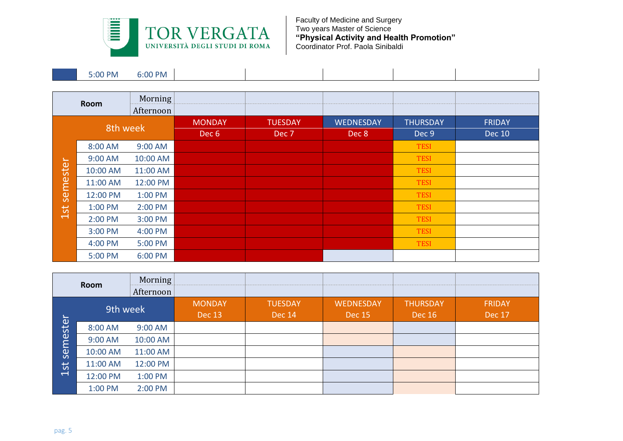

| 6:00 PM<br>$0.00 P$ M<br>D.UU |
|-------------------------------|
|-------------------------------|

|          | Room     | Morning<br>Afternoon |                                   |                         |                    |                          |                                |
|----------|----------|----------------------|-----------------------------------|-------------------------|--------------------|--------------------------|--------------------------------|
|          | 8th week |                      | <b>MONDAY</b><br>Dec <sub>6</sub> | <b>TUESDAY</b><br>Dec 7 | WEDNESDAY<br>Dec 8 | <b>THURSDAY</b><br>Dec 9 | <b>FRIDAY</b><br><b>Dec 10</b> |
|          | 8:00 AM  | 9:00 AM              |                                   |                         |                    | <b>TESI</b>              |                                |
|          | 9:00 AM  | 10:00 AM             |                                   |                         |                    | <b>TESI</b>              |                                |
|          | 10:00 AM | 11:00 AM             |                                   |                         |                    | <b>TESI</b>              |                                |
|          | 11:00 AM | 12:00 PM             |                                   |                         |                    | <b>TESI</b>              |                                |
| semester | 12:00 PM | 1:00 PM              |                                   |                         |                    | <b>TESI</b>              |                                |
| 1st      | 1:00 PM  | 2:00 PM              |                                   |                         |                    | <b>TESI</b>              |                                |
|          | 2:00 PM  | 3:00 PM              |                                   |                         |                    | <b>TESI</b>              |                                |
|          | 3:00 PM  | 4:00 PM              |                                   |                         |                    | <b>TESI</b>              |                                |
|          | 4:00 PM  | 5:00 PM              |                                   |                         |                    | <b>TESI</b>              |                                |
|          | 5:00 PM  | 6:00 PM              |                                   |                         |                    |                          |                                |

| Room                                              |          | Morning<br>Afternoon |                         |                                 |                                   |                                  |                                |
|---------------------------------------------------|----------|----------------------|-------------------------|---------------------------------|-----------------------------------|----------------------------------|--------------------------------|
| $\overline{\phantom{0}}$                          | 9th week |                      | <b>MONDAY</b><br>Dec 13 | <b>TUESDAY</b><br><b>Dec 14</b> | <b>WEDNESDAY</b><br><b>Dec 15</b> | <b>THURSDAY</b><br><b>Dec 16</b> | <b>FRIDAY</b><br><b>Dec 17</b> |
| este<br>≻<br>ဖြ<br>5t<br>$\overline{\phantom{0}}$ | 8:00 AM  | 9:00 AM              |                         |                                 |                                   |                                  |                                |
|                                                   | 9:00 AM  | 10:00 AM             |                         |                                 |                                   |                                  |                                |
|                                                   | 10:00 AM | 11:00 AM             |                         |                                 |                                   |                                  |                                |
|                                                   | 11:00 AM | 12:00 PM             |                         |                                 |                                   |                                  |                                |
|                                                   | 12:00 PM | 1:00 PM              |                         |                                 |                                   |                                  |                                |
|                                                   | 1:00 PM  | 2:00 PM              |                         |                                 |                                   |                                  |                                |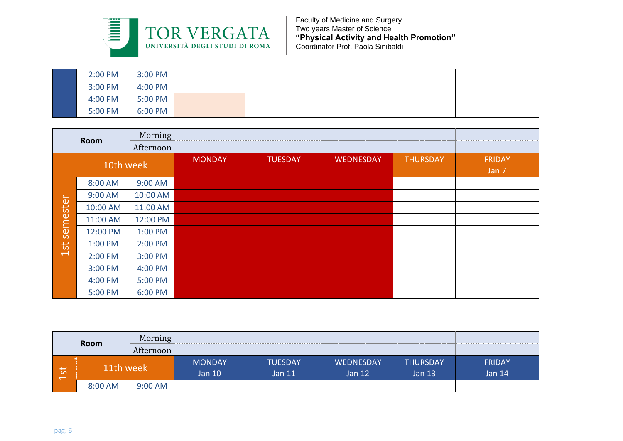

| 2:00 PM | 3:00 PM |  |  |  |
|---------|---------|--|--|--|
| 3:00 PM | 4:00 PM |  |  |  |
| 4:00 PM | 5:00 PM |  |  |  |
| 5:00 PM | 6:00 PM |  |  |  |

|                 | Morning<br>Room<br>Afternoon |          |               |                |                  |                 |                        |
|-----------------|------------------------------|----------|---------------|----------------|------------------|-----------------|------------------------|
|                 | 10th week                    |          | <b>MONDAY</b> | <b>TUESDAY</b> | <b>WEDNESDAY</b> | <b>THURSDAY</b> | <b>FRIDAY</b><br>Jan 7 |
|                 | 8:00 AM                      | 9:00 AM  |               |                |                  |                 |                        |
| semester<br>1st | 9:00 AM                      | 10:00 AM |               |                |                  |                 |                        |
|                 | 10:00 AM                     | 11:00 AM |               |                |                  |                 |                        |
|                 | 11:00 AM                     | 12:00 PM |               |                |                  |                 |                        |
|                 | 12:00 PM                     | 1:00 PM  |               |                |                  |                 |                        |
|                 | 1:00 PM                      | 2:00 PM  |               |                |                  |                 |                        |
|                 | 2:00 PM                      | 3:00 PM  |               |                |                  |                 |                        |
|                 | 3:00 PM                      | 4:00 PM  |               |                |                  |                 |                        |
|                 | 4:00 PM                      | 5:00 PM  |               |                |                  |                 |                        |
|                 | 5:00 PM                      | 6:00 PM  |               |                |                  |                 |                        |

|                                    | Morning<br>Room<br>Afternoon |           |                         |                            |                       |                                  |                           |  |
|------------------------------------|------------------------------|-----------|-------------------------|----------------------------|-----------------------|----------------------------------|---------------------------|--|
| $\overline{\phantom{0}}$<br>ທ<br>ᅱ | 11th week                    |           | <b>MONDAY</b><br>Jan 10 | <b>TUESDAY</b><br>Jan $11$ | WEDNESDAY<br>Jan $12$ | <b>THURSDAY</b><br><b>Jan 13</b> | <b>FRIDAY</b><br>Jan $14$ |  |
|                                    | 8:00 AM                      | $9:00$ AM |                         |                            |                       |                                  |                           |  |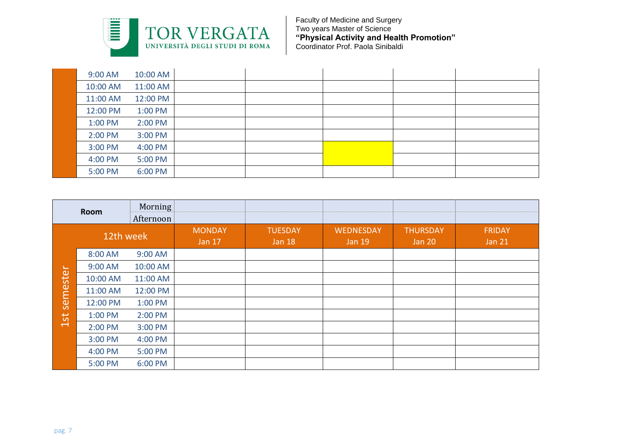

| 9:00 AM  | 10:00 AM |  |  |  |
|----------|----------|--|--|--|
| 10:00 AM | 11:00 AM |  |  |  |
| 11:00 AM | 12:00 PM |  |  |  |
| 12:00 PM | 1:00 PM  |  |  |  |
| 1:00 PM  | 2:00 PM  |  |  |  |
| 2:00 PM  | 3:00 PM  |  |  |  |
| 3:00 PM  | 4:00 PM  |  |  |  |
| 4:00 PM  | 5:00 PM  |  |  |  |
| 5:00 PM  | 6:00 PM  |  |  |  |

|          | Room      | Morning<br>Afternoon |                                |                                 |                            |                                  |                                |
|----------|-----------|----------------------|--------------------------------|---------------------------------|----------------------------|----------------------------------|--------------------------------|
|          | 12th week |                      | <b>MONDAY</b><br><b>Jan 17</b> | <b>TUESDAY</b><br><b>Jan 18</b> | WEDNESDAY<br><b>Jan 19</b> | <b>THURSDAY</b><br><b>Jan 20</b> | <b>FRIDAY</b><br><b>Jan 21</b> |
|          | 8:00 AM   | 9:00 AM              |                                |                                 |                            |                                  |                                |
| semester | 9:00 AM   | 10:00 AM             |                                |                                 |                            |                                  |                                |
|          | 10:00 AM  | 11:00 AM             |                                |                                 |                            |                                  |                                |
|          | 11:00 AM  | 12:00 PM             |                                |                                 |                            |                                  |                                |
|          | 12:00 PM  | 1:00 PM              |                                |                                 |                            |                                  |                                |
| 1st      | 1:00 PM   | 2:00 PM              |                                |                                 |                            |                                  |                                |
|          | 2:00 PM   | 3:00 PM              |                                |                                 |                            |                                  |                                |
|          | 3:00 PM   | 4:00 PM              |                                |                                 |                            |                                  |                                |
|          | 4:00 PM   | 5:00 PM              |                                |                                 |                            |                                  |                                |
|          | 5:00 PM   | 6:00 PM              |                                |                                 |                            |                                  |                                |